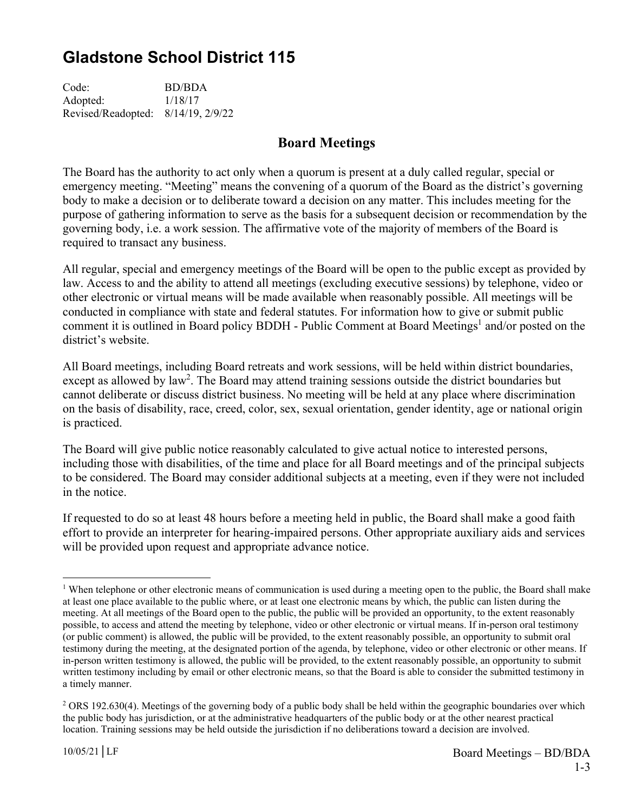## **Gladstone School District 115**

Code: BD/BDA Adopted: 1/18/17 Revised/Readopted: 8/14/19, 2/9/22

## **Board Meetings**

The Board has the authority to act only when a quorum is present at a duly called regular, special or emergency meeting. "Meeting" means the convening of a quorum of the Board as the district's governing body to make a decision or to deliberate toward a decision on any matter. This includes meeting for the purpose of gathering information to serve as the basis for a subsequent decision or recommendation by the governing body, i.e. a work session. The affirmative vote of the majority of members of the Board is required to transact any business.

All regular, special and emergency meetings of the Board will be open to the public except as provided by law. Access to and the ability to attend all meetings (excluding executive sessions) by telephone, video or other electronic or virtual means will be made available when reasonably possible. All meetings will be conducted in compliance with state and federal statutes. For information how to give or submit public comment it is outlined in Board policy BDDH - Public Comment at Board Meetings<sup>1</sup> and/or posted on the district's website.

All Board meetings, including Board retreats and work sessions, will be held within district boundaries, except as allowed by law<sup>2</sup>. The Board may attend training sessions outside the district boundaries but cannot deliberate or discuss district business. No meeting will be held at any place where discrimination on the basis of disability, race, creed, color, sex, sexual orientation, gender identity, age or national origin is practiced.

The Board will give public notice reasonably calculated to give actual notice to interested persons, including those with disabilities, of the time and place for all Board meetings and of the principal subjects to be considered. The Board may consider additional subjects at a meeting, even if they were not included in the notice.

If requested to do so at least 48 hours before a meeting held in public, the Board shall make a good faith effort to provide an interpreter for hearing-impaired persons. Other appropriate auxiliary aids and services will be provided upon request and appropriate advance notice.

 $\overline{a}$ 

<sup>&</sup>lt;sup>1</sup> When telephone or other electronic means of communication is used during a meeting open to the public, the Board shall make at least one place available to the public where, or at least one electronic means by which, the public can listen during the meeting. At all meetings of the Board open to the public, the public will be provided an opportunity, to the extent reasonably possible, to access and attend the meeting by telephone, video or other electronic or virtual means. If in-person oral testimony (or public comment) is allowed, the public will be provided, to the extent reasonably possible, an opportunity to submit oral testimony during the meeting, at the designated portion of the agenda, by telephone, video or other electronic or other means. If in-person written testimony is allowed, the public will be provided, to the extent reasonably possible, an opportunity to submit written testimony including by email or other electronic means, so that the Board is able to consider the submitted testimony in a timely manner.

 $2$  ORS 192.630(4). Meetings of the governing body of a public body shall be held within the geographic boundaries over which the public body has jurisdiction, or at the administrative headquarters of the public body or at the other nearest practical location. Training sessions may be held outside the jurisdiction if no deliberations toward a decision are involved.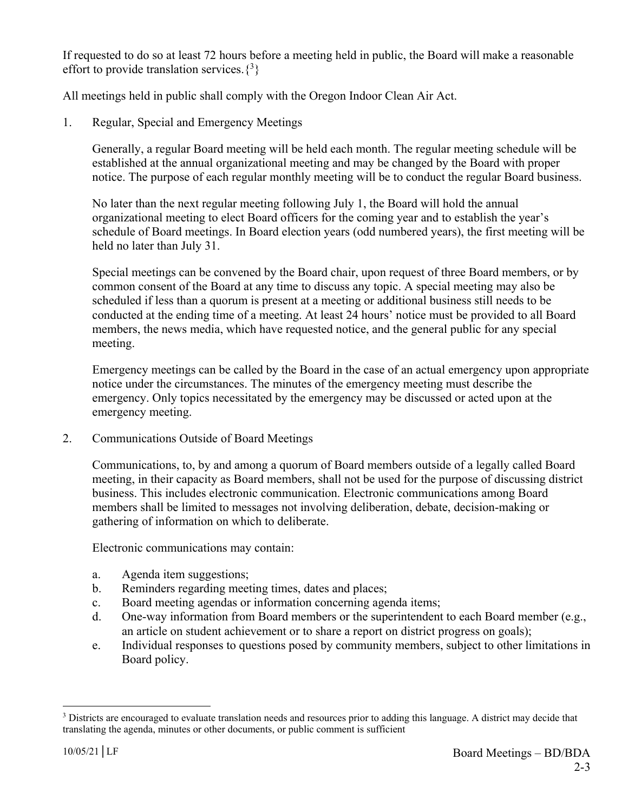If requested to do so at least 72 hours before a meeting held in public, the Board will make a reasonable effort to provide translation services. $\{3\}$ 

All meetings held in public shall comply with the Oregon Indoor Clean Air Act.

1. Regular, Special and Emergency Meetings

Generally, a regular Board meeting will be held each month. The regular meeting schedule will be established at the annual organizational meeting and may be changed by the Board with proper notice. The purpose of each regular monthly meeting will be to conduct the regular Board business.

No later than the next regular meeting following July 1, the Board will hold the annual organizational meeting to elect Board officers for the coming year and to establish the year's schedule of Board meetings. In Board election years (odd numbered years), the first meeting will be held no later than July 31.

Special meetings can be convened by the Board chair, upon request of three Board members, or by common consent of the Board at any time to discuss any topic. A special meeting may also be scheduled if less than a quorum is present at a meeting or additional business still needs to be conducted at the ending time of a meeting. At least 24 hours' notice must be provided to all Board members, the news media, which have requested notice, and the general public for any special meeting.

Emergency meetings can be called by the Board in the case of an actual emergency upon appropriate notice under the circumstances. The minutes of the emergency meeting must describe the emergency. Only topics necessitated by the emergency may be discussed or acted upon at the emergency meeting.

2. Communications Outside of Board Meetings

Communications, to, by and among a quorum of Board members outside of a legally called Board meeting, in their capacity as Board members, shall not be used for the purpose of discussing district business. This includes electronic communication. Electronic communications among Board members shall be limited to messages not involving deliberation, debate, decision-making or gathering of information on which to deliberate.

Electronic communications may contain:

- a. Agenda item suggestions;
- b. Reminders regarding meeting times, dates and places;
- c. Board meeting agendas or information concerning agenda items;
- d. One-way information from Board members or the superintendent to each Board member (e.g., an article on student achievement or to share a report on district progress on goals);
- e. Individual responses to questions posed by community members, subject to other limitations in Board policy.

 $\overline{a}$ 

<sup>&</sup>lt;sup>3</sup> Districts are encouraged to evaluate translation needs and resources prior to adding this language. A district may decide that translating the agenda, minutes or other documents, or public comment is sufficient